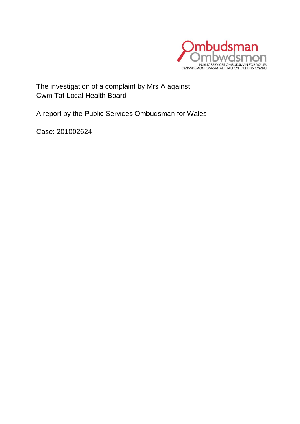

The investigation of a complaint by Mrs A against Cwm Taf Local Health Board

A report by the Public Services Ombudsman for Wales

Case: 201002624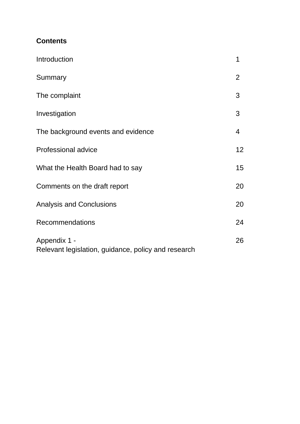## **Contents**

| Introduction                                                        | 1               |
|---------------------------------------------------------------------|-----------------|
| Summary                                                             | $\overline{2}$  |
| The complaint                                                       | 3               |
| Investigation                                                       | 3               |
| The background events and evidence                                  | 4               |
| <b>Professional advice</b>                                          | 12 <sub>2</sub> |
| What the Health Board had to say                                    | 15              |
| Comments on the draft report                                        | 20              |
| <b>Analysis and Conclusions</b>                                     | 20              |
| Recommendations                                                     | 24              |
| Appendix 1 -<br>Relevant legislation, guidance, policy and research | 26              |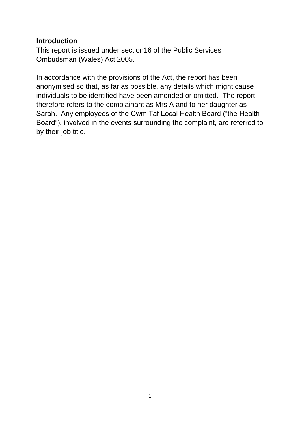#### **Introduction**

This report is issued under section16 of the Public Services Ombudsman (Wales) Act 2005.

In accordance with the provisions of the Act, the report has been anonymised so that, as far as possible, any details which might cause individuals to be identified have been amended or omitted. The report therefore refers to the complainant as Mrs A and to her daughter as Sarah. Any employees of the Cwm Taf Local Health Board ("the Health Board"), involved in the events surrounding the complaint, are referred to by their job title.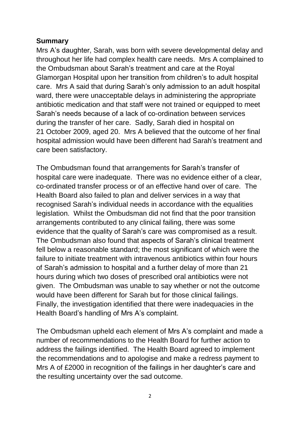### **Summary**

Mrs A's daughter, Sarah, was born with severe developmental delay and throughout her life had complex health care needs. Mrs A complained to the Ombudsman about Sarah's treatment and care at the Royal Glamorgan Hospital upon her transition from children's to adult hospital care. Mrs A said that during Sarah's only admission to an adult hospital ward, there were unacceptable delays in administering the appropriate antibiotic medication and that staff were not trained or equipped to meet Sarah's needs because of a lack of co-ordination between services during the transfer of her care. Sadly, Sarah died in hospital on 21 October 2009, aged 20. Mrs A believed that the outcome of her final hospital admission would have been different had Sarah's treatment and care been satisfactory.

The Ombudsman found that arrangements for Sarah's transfer of hospital care were inadequate. There was no evidence either of a clear, co-ordinated transfer process or of an effective hand over of care. The Health Board also failed to plan and deliver services in a way that recognised Sarah's individual needs in accordance with the equalities legislation. Whilst the Ombudsman did not find that the poor transition arrangements contributed to any clinical failing, there was some evidence that the quality of Sarah's care was compromised as a result. The Ombudsman also found that aspects of Sarah's clinical treatment fell below a reasonable standard; the most significant of which were the failure to initiate treatment with intravenous antibiotics within four hours of Sarah's admission to hospital and a further delay of more than 21 hours during which two doses of prescribed oral antibiotics were not given. The Ombudsman was unable to say whether or not the outcome would have been different for Sarah but for those clinical failings. Finally, the investigation identified that there were inadequacies in the Health Board's handling of Mrs A's complaint.

The Ombudsman upheld each element of Mrs A's complaint and made a number of recommendations to the Health Board for further action to address the failings identified. The Health Board agreed to implement the recommendations and to apologise and make a redress payment to Mrs A of £2000 in recognition of the failings in her daughter's care and the resulting uncertainty over the sad outcome.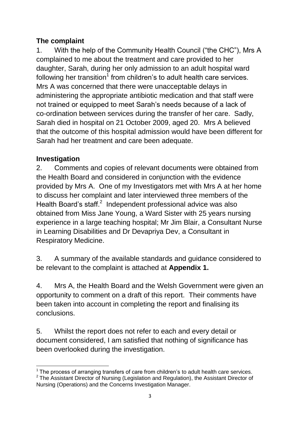# **The complaint**

1. With the help of the Community Health Council ("the CHC"), Mrs A complained to me about the treatment and care provided to her daughter, Sarah, during her only admission to an adult hospital ward following her transition<sup>1</sup> from children's to adult health care services. Mrs A was concerned that there were unacceptable delays in administering the appropriate antibiotic medication and that staff were not trained or equipped to meet Sarah's needs because of a lack of co-ordination between services during the transfer of her care. Sadly, Sarah died in hospital on 21 October 2009, aged 20. Mrs A believed that the outcome of this hospital admission would have been different for Sarah had her treatment and care been adequate.

## **Investigation**

2. Comments and copies of relevant documents were obtained from the Health Board and considered in conjunction with the evidence provided by Mrs A. One of my Investigators met with Mrs A at her home to discuss her complaint and later interviewed three members of the Health Board's staff.<sup>2</sup> Independent professional advice was also obtained from Miss Jane Young, a Ward Sister with 25 years nursing experience in a large teaching hospital; Mr Jim Blair, a Consultant Nurse in Learning Disabilities and Dr Devapriya Dev, a Consultant in Respiratory Medicine.

3. A summary of the available standards and guidance considered to be relevant to the complaint is attached at **Appendix 1.**

4. Mrs A, the Health Board and the Welsh Government were given an opportunity to comment on a draft of this report. Their comments have been taken into account in completing the report and finalising its conclusions.

5. Whilst the report does not refer to each and every detail or document considered, I am satisfied that nothing of significance has been overlooked during the investigation.

<sup>1</sup>  $1$  The process of arranging transfers of care from children's to adult health care services.  $2$  The Assistant Director of Nursing (Legislation and Regulation), the Assistant Director of Nursing (Operations) and the Concerns Investigation Manager.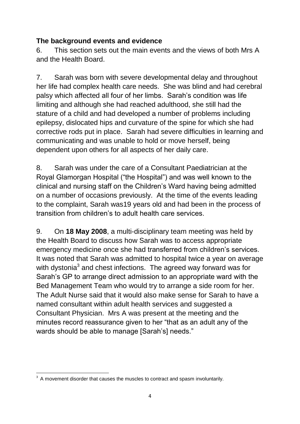## **The background events and evidence**

6. This section sets out the main events and the views of both Mrs A and the Health Board.

7. Sarah was born with severe developmental delay and throughout her life had complex health care needs. She was blind and had cerebral palsy which affected all four of her limbs. Sarah's condition was life limiting and although she had reached adulthood, she still had the stature of a child and had developed a number of problems including epilepsy, dislocated hips and curvature of the spine for which she had corrective rods put in place. Sarah had severe difficulties in learning and communicating and was unable to hold or move herself, being dependent upon others for all aspects of her daily care.

8. Sarah was under the care of a Consultant Paediatrician at the Royal Glamorgan Hospital ("the Hospital") and was well known to the clinical and nursing staff on the Children's Ward having being admitted on a number of occasions previously. At the time of the events leading to the complaint, Sarah was19 years old and had been in the process of transition from children's to adult health care services.

9. On **18 May 2008**, a multi-disciplinary team meeting was held by the Health Board to discuss how Sarah was to access appropriate emergency medicine once she had transferred from children's services. It was noted that Sarah was admitted to hospital twice a year on average with dystonia<sup>3</sup> and chest infections. The agreed way forward was for Sarah's GP to arrange direct admission to an appropriate ward with the Bed Management Team who would try to arrange a side room for her. The Adult Nurse said that it would also make sense for Sarah to have a named consultant within adult health services and suggested a Consultant Physician. Mrs A was present at the meeting and the minutes record reassurance given to her "that as an adult any of the wards should be able to manage [Sarah's] needs."

 3 A movement disorder that causes the muscles to contract and spasm involuntarily.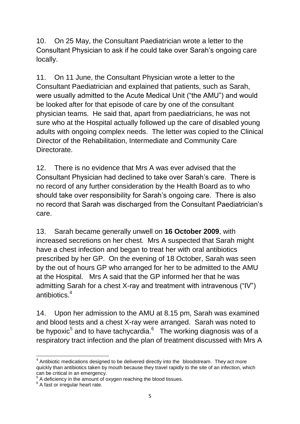10. On 25 May, the Consultant Paediatrician wrote a letter to the Consultant Physician to ask if he could take over Sarah's ongoing care locally.

11. On 11 June, the Consultant Physician wrote a letter to the Consultant Paediatrician and explained that patients, such as Sarah, were usually admitted to the Acute Medical Unit ("the AMU") and would be looked after for that episode of care by one of the consultant physician teams. He said that, apart from paediatricians, he was not sure who at the Hospital actually followed up the care of disabled young adults with ongoing complex needs. The letter was copied to the Clinical Director of the Rehabilitation, Intermediate and Community Care **Directorate** 

12. There is no evidence that Mrs A was ever advised that the Consultant Physician had declined to take over Sarah's care. There is no record of any further consideration by the Health Board as to who should take over responsibility for Sarah's ongoing care. There is also no record that Sarah was discharged from the Consultant Paediatrician's care.

13. Sarah became generally unwell on **16 October 2009**, with increased secretions on her chest. Mrs A suspected that Sarah might have a chest infection and began to treat her with oral antibiotics prescribed by her GP. On the evening of 18 October, Sarah was seen by the out of hours GP who arranged for her to be admitted to the AMU at the Hospital. Mrs A said that the GP informed her that he was admitting Sarah for a chest X-ray and treatment with intravenous ("IV") antibiotics. 4

14. Upon her admission to the AMU at 8.15 pm, Sarah was examined and blood tests and a chest X-ray were arranged. Sarah was noted to be hypoxic $^5$  and to have tachycardia. $^6$  The working diagnosis was of a respiratory tract infection and the plan of treatment discussed with Mrs A

**<sup>.</sup>**  $4$  Antibiotic medications designed to be delivered directly into the bloodstream. They act more quickly than antibiotics taken by mouth because they travel rapidly to the site of an infection, which can be critical in an emergency.

<sup>&</sup>lt;sup>5</sup> A deficiency in the amount of oxygen reaching the blood tissues.

<sup>&</sup>lt;sup>6</sup> A fast or irregular heart rate.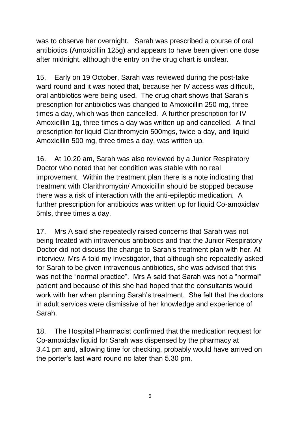was to observe her overnight. Sarah was prescribed a course of oral antibiotics (Amoxicillin 125g) and appears to have been given one dose after midnight, although the entry on the drug chart is unclear.

15. Early on 19 October, Sarah was reviewed during the post-take ward round and it was noted that, because her IV access was difficult, oral antibiotics were being used. The drug chart shows that Sarah's prescription for antibiotics was changed to Amoxicillin 250 mg, three times a day, which was then cancelled. A further prescription for IV Amoxicillin 1g, three times a day was written up and cancelled. A final prescription for liquid Clarithromycin 500mgs, twice a day, and liquid Amoxicillin 500 mg, three times a day, was written up.

16. At 10.20 am, Sarah was also reviewed by a Junior Respiratory Doctor who noted that her condition was stable with no real improvement. Within the treatment plan there is a note indicating that treatment with Clarithromycin/ Amoxicillin should be stopped because there was a risk of interaction with the anti-epileptic medication. A further prescription for antibiotics was written up for liquid Co-amoxiclav 5mls, three times a day.

17. Mrs A said she repeatedly raised concerns that Sarah was not being treated with intravenous antibiotics and that the Junior Respiratory Doctor did not discuss the change to Sarah's treatment plan with her. At interview, Mrs A told my Investigator, that although she repeatedly asked for Sarah to be given intravenous antibiotics, she was advised that this was not the "normal practice". Mrs A said that Sarah was not a "normal" patient and because of this she had hoped that the consultants would work with her when planning Sarah's treatment. She felt that the doctors in adult services were dismissive of her knowledge and experience of Sarah.

18. The Hospital Pharmacist confirmed that the medication request for Co-amoxiclav liquid for Sarah was dispensed by the pharmacy at 3.41 pm and, allowing time for checking, probably would have arrived on the porter's last ward round no later than 5.30 pm.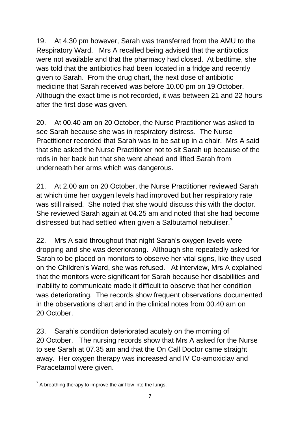19. At 4.30 pm however, Sarah was transferred from the AMU to the Respiratory Ward. Mrs A recalled being advised that the antibiotics were not available and that the pharmacy had closed. At bedtime, she was told that the antibiotics had been located in a fridge and recently given to Sarah. From the drug chart, the next dose of antibiotic medicine that Sarah received was before 10.00 pm on 19 October. Although the exact time is not recorded, it was between 21 and 22 hours after the first dose was given.

20. At 00.40 am on 20 October, the Nurse Practitioner was asked to see Sarah because she was in respiratory distress. The Nurse Practitioner recorded that Sarah was to be sat up in a chair. Mrs A said that she asked the Nurse Practitioner not to sit Sarah up because of the rods in her back but that she went ahead and lifted Sarah from underneath her arms which was dangerous.

21. At 2.00 am on 20 October, the Nurse Practitioner reviewed Sarah at which time her oxygen levels had improved but her respiratory rate was still raised. She noted that she would discuss this with the doctor. She reviewed Sarah again at 04.25 am and noted that she had become distressed but had settled when given a Salbutamol nebuliser. $<sup>7</sup>$ </sup>

22. Mrs A said throughout that night Sarah's oxygen levels were dropping and she was deteriorating. Although she repeatedly asked for Sarah to be placed on monitors to observe her vital signs, like they used on the Children's Ward, she was refused. At interview, Mrs A explained that the monitors were significant for Sarah because her disabilities and inability to communicate made it difficult to observe that her condition was deteriorating. The records show frequent observations documented in the observations chart and in the clinical notes from 00.40 am on 20 October.

23. Sarah's condition deteriorated acutely on the morning of 20 October. The nursing records show that Mrs A asked for the Nurse to see Sarah at 07.35 am and that the On Call Doctor came straight away. Her oxygen therapy was increased and IV Co-amoxiclav and Paracetamol were given.

<sup>————————————————————&</sup>lt;br><sup>7</sup> A breathing therapy to improve the air flow into the lungs.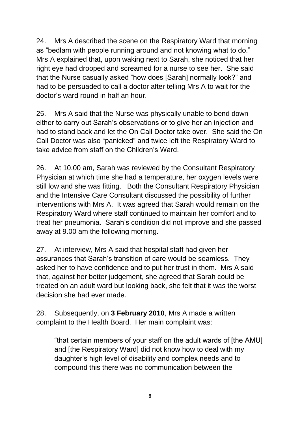24. Mrs A described the scene on the Respiratory Ward that morning as "bedlam with people running around and not knowing what to do." Mrs A explained that, upon waking next to Sarah, she noticed that her right eye had drooped and screamed for a nurse to see her. She said that the Nurse casually asked "how does [Sarah] normally look?" and had to be persuaded to call a doctor after telling Mrs A to wait for the doctor's ward round in half an hour.

25. Mrs A said that the Nurse was physically unable to bend down either to carry out Sarah's observations or to give her an injection and had to stand back and let the On Call Doctor take over. She said the On Call Doctor was also "panicked" and twice left the Respiratory Ward to take advice from staff on the Children's Ward.

26. At 10.00 am, Sarah was reviewed by the Consultant Respiratory Physician at which time she had a temperature, her oxygen levels were still low and she was fitting. Both the Consultant Respiratory Physician and the Intensive Care Consultant discussed the possibility of further interventions with Mrs A. It was agreed that Sarah would remain on the Respiratory Ward where staff continued to maintain her comfort and to treat her pneumonia. Sarah's condition did not improve and she passed away at 9.00 am the following morning.

27. At interview, Mrs A said that hospital staff had given her assurances that Sarah's transition of care would be seamless. They asked her to have confidence and to put her trust in them. Mrs A said that, against her better judgement, she agreed that Sarah could be treated on an adult ward but looking back, she felt that it was the worst decision she had ever made.

28. Subsequently, on **3 February 2010**, Mrs A made a written complaint to the Health Board. Her main complaint was:

"that certain members of your staff on the adult wards of [the AMU] and [the Respiratory Ward] did not know how to deal with my daughter's high level of disability and complex needs and to compound this there was no communication between the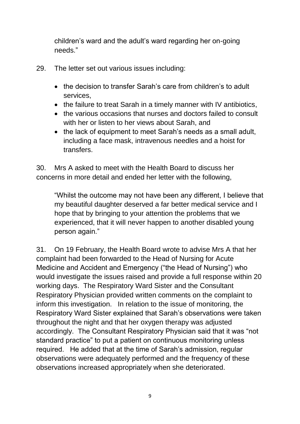children's ward and the adult's ward regarding her on-going needs."

- 29. The letter set out various issues including:
	- the decision to transfer Sarah's care from children's to adult services,
	- the failure to treat Sarah in a timely manner with IV antibiotics,
	- the various occasions that nurses and doctors failed to consult with her or listen to her views about Sarah, and
	- the lack of equipment to meet Sarah's needs as a small adult, including a face mask, intravenous needles and a hoist for transfers.

30. Mrs A asked to meet with the Health Board to discuss her concerns in more detail and ended her letter with the following,

"Whilst the outcome may not have been any different, I believe that my beautiful daughter deserved a far better medical service and I hope that by bringing to your attention the problems that we experienced, that it will never happen to another disabled young person again."

31. On 19 February, the Health Board wrote to advise Mrs A that her complaint had been forwarded to the Head of Nursing for Acute Medicine and Accident and Emergency ("the Head of Nursing") who would investigate the issues raised and provide a full response within 20 working days. The Respiratory Ward Sister and the Consultant Respiratory Physician provided written comments on the complaint to inform this investigation. In relation to the issue of monitoring, the Respiratory Ward Sister explained that Sarah's observations were taken throughout the night and that her oxygen therapy was adjusted accordingly. The Consultant Respiratory Physician said that it was "not standard practice" to put a patient on continuous monitoring unless required. He added that at the time of Sarah's admission, regular observations were adequately performed and the frequency of these observations increased appropriately when she deteriorated.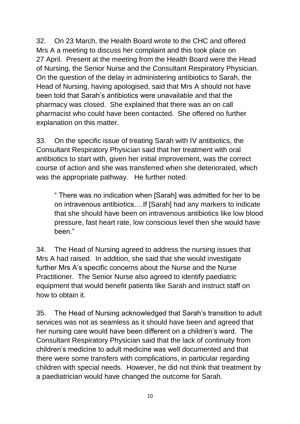32. On 23 March, the Health Board wrote to the CHC and offered Mrs A a meeting to discuss her complaint and this took place on 27 April. Present at the meeting from the Health Board were the Head of Nursing, the Senior Nurse and the Consultant Respiratory Physician. On the question of the delay in administering antibiotics to Sarah, the Head of Nursing, having apologised, said that Mrs A should not have been told that Sarah's antibiotics were unavailable and that the pharmacy was closed. She explained that there was an on call pharmacist who could have been contacted. She offered no further explanation on this matter.

33. On the specific issue of treating Sarah with IV antibiotics, the Consultant Respiratory Physician said that her treatment with oral antibiotics to start with, given her initial improvement, was the correct course of action and she was transferred when she deteriorated, which was the appropriate pathway. He further noted:

" There was no indication when [Sarah] was admitted for her to be on intravenous antibiotics….If [Sarah] had any markers to indicate that she should have been on intravenous antibiotics like low blood pressure, fast heart rate, low conscious level then she would have been."

34. The Head of Nursing agreed to address the nursing issues that Mrs A had raised. In addition, she said that she would investigate further Mrs A's specific concerns about the Nurse and the Nurse Practitioner. The Senior Nurse also agreed to identify paediatric equipment that would benefit patients like Sarah and instruct staff on how to obtain it.

35. The Head of Nursing acknowledged that Sarah's transition to adult services was not as seamless as it should have been and agreed that her nursing care would have been different on a children's ward. The Consultant Respiratory Physician said that the lack of continuity from children's medicine to adult medicine was well documented and that there were some transfers with complications, in particular regarding children with special needs. However, he did not think that treatment by a paediatrician would have changed the outcome for Sarah.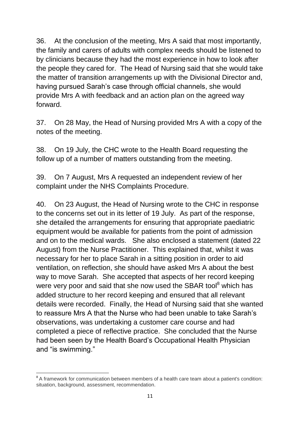36. At the conclusion of the meeting, Mrs A said that most importantly, the family and carers of adults with complex needs should be listened to by clinicians because they had the most experience in how to look after the people they cared for. The Head of Nursing said that she would take the matter of transition arrangements up with the Divisional Director and, having pursued Sarah's case through official channels, she would provide Mrs A with feedback and an action plan on the agreed way forward.

37. On 28 May, the Head of Nursing provided Mrs A with a copy of the notes of the meeting.

38. On 19 July, the CHC wrote to the Health Board requesting the follow up of a number of matters outstanding from the meeting.

39. On 7 August, Mrs A requested an independent review of her complaint under the NHS Complaints Procedure.

40. On 23 August, the Head of Nursing wrote to the CHC in response to the concerns set out in its letter of 19 July. As part of the response, she detailed the arrangements for ensuring that appropriate paediatric equipment would be available for patients from the point of admission and on to the medical wards. She also enclosed a statement (dated 22 August) from the Nurse Practitioner. This explained that, whilst it was necessary for her to place Sarah in a sitting position in order to aid ventilation, on reflection, she should have asked Mrs A about the best way to move Sarah. She accepted that aspects of her record keeping were very poor and said that she now used the SBAR tool<sup>8</sup> which has added structure to her record keeping and ensured that all relevant details were recorded. Finally, the Head of Nursing said that she wanted to reassure Mrs A that the Nurse who had been unable to take Sarah's observations, was undertaking a customer care course and had completed a piece of reflective practice. She concluded that the Nurse had been seen by the Health Board's Occupational Health Physician and "is swimming."

**EXECTS**<br><sup>8</sup> A framework for communication between members of a health care team about a patient's condition: situation, background, assessment, recommendation.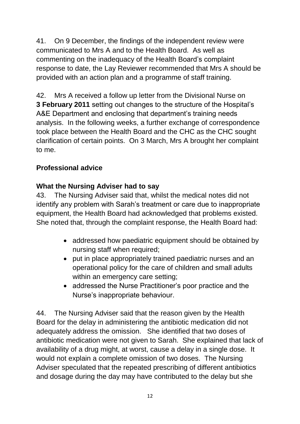41. On 9 December, the findings of the independent review were communicated to Mrs A and to the Health Board. As well as commenting on the inadequacy of the Health Board's complaint response to date, the Lay Reviewer recommended that Mrs A should be provided with an action plan and a programme of staff training.

42. Mrs A received a follow up letter from the Divisional Nurse on **3 February 2011** setting out changes to the structure of the Hospital's A&E Department and enclosing that department's training needs analysis. In the following weeks, a further exchange of correspondence took place between the Health Board and the CHC as the CHC sought clarification of certain points. On 3 March, Mrs A brought her complaint to me.

# **Professional advice**

## **What the Nursing Adviser had to say**

43. The Nursing Adviser said that, whilst the medical notes did not identify any problem with Sarah's treatment or care due to inappropriate equipment, the Health Board had acknowledged that problems existed. She noted that, through the complaint response, the Health Board had:

- addressed how paediatric equipment should be obtained by nursing staff when required;
- put in place appropriately trained paediatric nurses and an operational policy for the care of children and small adults within an emergency care setting;
- addressed the Nurse Practitioner's poor practice and the Nurse's inappropriate behaviour.

44. The Nursing Adviser said that the reason given by the Health Board for the delay in administering the antibiotic medication did not adequately address the omission. She identified that two doses of antibiotic medication were not given to Sarah. She explained that lack of availability of a drug might, at worst, cause a delay in a single dose. It would not explain a complete omission of two doses. The Nursing Adviser speculated that the repeated prescribing of different antibiotics and dosage during the day may have contributed to the delay but she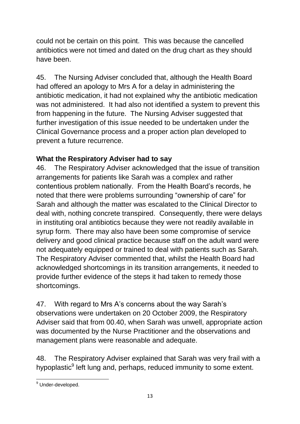could not be certain on this point. This was because the cancelled antibiotics were not timed and dated on the drug chart as they should have been.

45. The Nursing Adviser concluded that, although the Health Board had offered an apology to Mrs A for a delay in administering the antibiotic medication, it had not explained why the antibiotic medication was not administered. It had also not identified a system to prevent this from happening in the future. The Nursing Adviser suggested that further investigation of this issue needed to be undertaken under the Clinical Governance process and a proper action plan developed to prevent a future recurrence.

## **What the Respiratory Adviser had to say**

46. The Respiratory Adviser acknowledged that the issue of transition arrangements for patients like Sarah was a complex and rather contentious problem nationally. From the Health Board's records, he noted that there were problems surrounding "ownership of care" for Sarah and although the matter was escalated to the Clinical Director to deal with, nothing concrete transpired. Consequently, there were delays in instituting oral antibiotics because they were not readily available in syrup form. There may also have been some compromise of service delivery and good clinical practice because staff on the adult ward were not adequately equipped or trained to deal with patients such as Sarah. The Respiratory Adviser commented that, whilst the Health Board had acknowledged shortcomings in its transition arrangements, it needed to provide further evidence of the steps it had taken to remedy those shortcomings.

47. With regard to Mrs A's concerns about the way Sarah's observations were undertaken on 20 October 2009, the Respiratory Adviser said that from 00.40, when Sarah was unwell, appropriate action was documented by the Nurse Practitioner and the observations and management plans were reasonable and adequate.

48. The Respiratory Adviser explained that Sarah was very frail with a hypoplastic<sup>9</sup> left lung and, perhaps, reduced immunity to some extent.

**<sup>.</sup>** <sup>9</sup> Under-developed.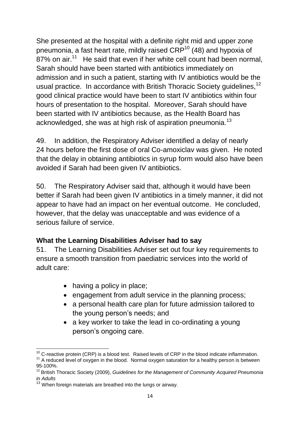She presented at the hospital with a definite right mid and upper zone pneumonia, a fast heart rate, mildly raised  $CRP^{10}$  (48) and hypoxia of 87% on air.<sup>11</sup> He said that even if her white cell count had been normal, Sarah should have been started with antibiotics immediately on admission and in such a patient, starting with IV antibiotics would be the usual practice. In accordance with British Thoracic Society guidelines.<sup>12</sup> good clinical practice would have been to start IV antibiotics within four hours of presentation to the hospital. Moreover, Sarah should have been started with IV antibiotics because, as the Health Board has acknowledged, she was at high risk of aspiration pneumonia.<sup>13</sup>

49. In addition, the Respiratory Adviser identified a delay of nearly 24 hours before the first dose of oral Co-amoxiclav was given. He noted that the delay in obtaining antibiotics in syrup form would also have been avoided if Sarah had been given IV antibiotics.

50. The Respiratory Adviser said that, although it would have been better if Sarah had been given IV antibiotics in a timely manner, it did not appear to have had an impact on her eventual outcome. He concluded, however, that the delay was unacceptable and was evidence of a serious failure of service.

## **What the Learning Disabilities Adviser had to say**

51. The Learning Disabilities Adviser set out four key requirements to ensure a smooth transition from paediatric services into the world of adult care:

- having a policy in place;
- engagement from adult service in the planning process;
- a personal health care plan for future admission tailored to the young person's needs; and
- a key worker to take the lead in co-ordinating a young person's ongoing care.

**<sup>.</sup>**  $10$  C-reactive protein (CRP) is a blood test. Raised levels of CRP in the blood indicate inflammation.

<sup>&</sup>lt;sup>11</sup> A reduced level of oxygen in the blood. Normal oxygen saturation for a healthy person is between 95-100%.

<sup>&</sup>lt;sup>12</sup> British Thoracic Society (2009), *Guidelines for the Management of Community Acquired Pneumonia in Adults* 

<sup>&</sup>lt;sup>13</sup> When foreign materials are breathed into the lungs or airway.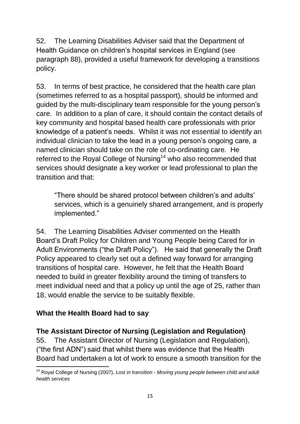52. The Learning Disabilities Adviser said that the Department of Health Guidance on children's hospital services in England (see paragraph 88), provided a useful framework for developing a transitions policy.

53. In terms of best practice, he considered that the health care plan (sometimes referred to as a hospital passport), should be informed and guided by the multi-disciplinary team responsible for the young person's care. In addition to a plan of care, it should contain the contact details of key community and hospital based health care professionals with prior knowledge of a patient's needs. Whilst it was not essential to identify an individual clinician to take the lead in a young person's ongoing care, a named clinician should take on the role of co-ordinating care. He referred to the Royal College of Nursing<sup>14</sup> who also recommended that services should designate a key worker or lead professional to plan the transition and that:

"There should be shared protocol between children's and adults' services, which is a genuinely shared arrangement, and is properly implemented."

54. The Learning Disabilities Adviser commented on the Health Board's Draft Policy for Children and Young People being Cared for in Adult Environments ("the Draft Policy"). He said that generally the Draft Policy appeared to clearly set out a defined way forward for arranging transitions of hospital care. However, he felt that the Health Board needed to build in greater flexibility around the timing of transfers to meet individual need and that a policy up until the age of 25, rather than 18, would enable the service to be suitably flexible.

## **What the Health Board had to say**

**.** 

## **The Assistant Director of Nursing (Legislation and Regulation)**

55. The Assistant Director of Nursing (Legislation and Regulation), ("the first ADN") said that whilst there was evidence that the Health Board had undertaken a lot of work to ensure a smooth transition for the

<sup>14</sup> Royal College of Nursing (2007), *Lost in transition - Moving young people between child and adult health services*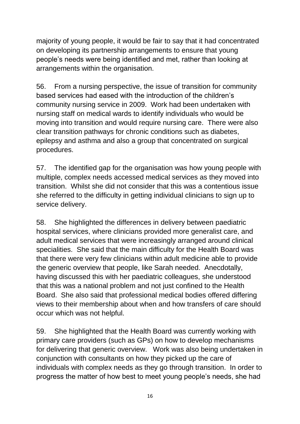majority of young people, it would be fair to say that it had concentrated on developing its partnership arrangements to ensure that young people's needs were being identified and met, rather than looking at arrangements within the organisation.

56. From a nursing perspective, the issue of transition for community based services had eased with the introduction of the children's community nursing service in 2009. Work had been undertaken with nursing staff on medical wards to identify individuals who would be moving into transition and would require nursing care. There were also clear transition pathways for chronic conditions such as diabetes, epilepsy and asthma and also a group that concentrated on surgical procedures.

57. The identified gap for the organisation was how young people with multiple, complex needs accessed medical services as they moved into transition. Whilst she did not consider that this was a contentious issue she referred to the difficulty in getting individual clinicians to sign up to service delivery.

58. She highlighted the differences in delivery between paediatric hospital services, where clinicians provided more generalist care, and adult medical services that were increasingly arranged around clinical specialities. She said that the main difficulty for the Health Board was that there were very few clinicians within adult medicine able to provide the generic overview that people, like Sarah needed. Anecdotally, having discussed this with her paediatric colleagues, she understood that this was a national problem and not just confined to the Health Board. She also said that professional medical bodies offered differing views to their membership about when and how transfers of care should occur which was not helpful.

59. She highlighted that the Health Board was currently working with primary care providers (such as GPs) on how to develop mechanisms for delivering that generic overview. Work was also being undertaken in conjunction with consultants on how they picked up the care of individuals with complex needs as they go through transition. In order to progress the matter of how best to meet young people's needs, she had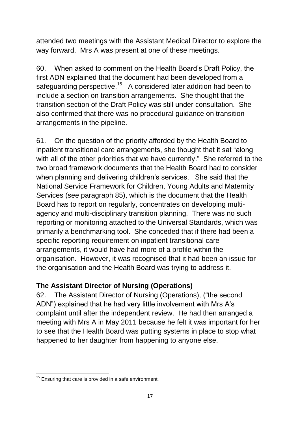attended two meetings with the Assistant Medical Director to explore the way forward. Mrs A was present at one of these meetings.

60. When asked to comment on the Health Board's Draft Policy, the first ADN explained that the document had been developed from a safeguarding perspective.<sup>15</sup> A considered later addition had been to include a section on transition arrangements. She thought that the transition section of the Draft Policy was still under consultation. She also confirmed that there was no procedural guidance on transition arrangements in the pipeline.

61. On the question of the priority afforded by the Health Board to inpatient transitional care arrangements, she thought that it sat "along with all of the other priorities that we have currently." She referred to the two broad framework documents that the Health Board had to consider when planning and delivering children's services. She said that the National Service Framework for Children, Young Adults and Maternity Services (see paragraph 85), which is the document that the Health Board has to report on regularly, concentrates on developing multiagency and multi-disciplinary transition planning. There was no such reporting or monitoring attached to the Universal Standards, which was primarily a benchmarking tool. She conceded that if there had been a specific reporting requirement on inpatient transitional care arrangements, it would have had more of a profile within the organisation. However, it was recognised that it had been an issue for the organisation and the Health Board was trying to address it.

## **The Assistant Director of Nursing (Operations)**

62. The Assistant Director of Nursing (Operations), ("the second ADN") explained that he had very little involvement with Mrs A's complaint until after the independent review. He had then arranged a meeting with Mrs A in May 2011 because he felt it was important for her to see that the Health Board was putting systems in place to stop what happened to her daughter from happening to anyone else.

<sup>1</sup>  $15$  Ensuring that care is provided in a safe environment.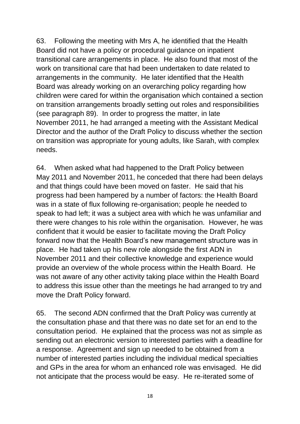63. Following the meeting with Mrs A, he identified that the Health Board did not have a policy or procedural guidance on inpatient transitional care arrangements in place. He also found that most of the work on transitional care that had been undertaken to date related to arrangements in the community. He later identified that the Health Board was already working on an overarching policy regarding how children were cared for within the organisation which contained a section on transition arrangements broadly setting out roles and responsibilities (see paragraph 89). In order to progress the matter, in late November 2011, he had arranged a meeting with the Assistant Medical Director and the author of the Draft Policy to discuss whether the section on transition was appropriate for young adults, like Sarah, with complex needs.

64. When asked what had happened to the Draft Policy between May 2011 and November 2011, he conceded that there had been delays and that things could have been moved on faster. He said that his progress had been hampered by a number of factors: the Health Board was in a state of flux following re-organisation; people he needed to speak to had left; it was a subject area with which he was unfamiliar and there were changes to his role within the organisation. However, he was confident that it would be easier to facilitate moving the Draft Policy forward now that the Health Board's new management structure was in place. He had taken up his new role alongside the first ADN in November 2011 and their collective knowledge and experience would provide an overview of the whole process within the Health Board. He was not aware of any other activity taking place within the Health Board to address this issue other than the meetings he had arranged to try and move the Draft Policy forward.

65. The second ADN confirmed that the Draft Policy was currently at the consultation phase and that there was no date set for an end to the consultation period. He explained that the process was not as simple as sending out an electronic version to interested parties with a deadline for a response. Agreement and sign up needed to be obtained from a number of interested parties including the individual medical specialties and GPs in the area for whom an enhanced role was envisaged. He did not anticipate that the process would be easy. He re-iterated some of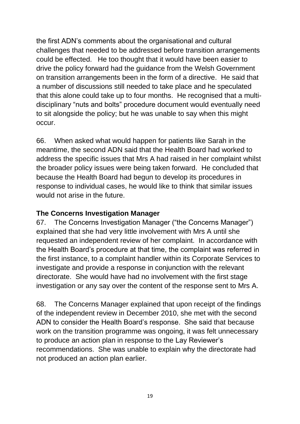the first ADN's comments about the organisational and cultural challenges that needed to be addressed before transition arrangements could be effected. He too thought that it would have been easier to drive the policy forward had the guidance from the Welsh Government on transition arrangements been in the form of a directive. He said that a number of discussions still needed to take place and he speculated that this alone could take up to four months. He recognised that a multidisciplinary "nuts and bolts" procedure document would eventually need to sit alongside the policy; but he was unable to say when this might occur.

66. When asked what would happen for patients like Sarah in the meantime, the second ADN said that the Health Board had worked to address the specific issues that Mrs A had raised in her complaint whilst the broader policy issues were being taken forward. He concluded that because the Health Board had begun to develop its procedures in response to individual cases, he would like to think that similar issues would not arise in the future.

#### **The Concerns Investigation Manager**

67. The Concerns Investigation Manager ("the Concerns Manager") explained that she had very little involvement with Mrs A until she requested an independent review of her complaint. In accordance with the Health Board's procedure at that time, the complaint was referred in the first instance, to a complaint handler within its Corporate Services to investigate and provide a response in conjunction with the relevant directorate. She would have had no involvement with the first stage investigation or any say over the content of the response sent to Mrs A.

68. The Concerns Manager explained that upon receipt of the findings of the independent review in December 2010, she met with the second ADN to consider the Health Board's response. She said that because work on the transition programme was ongoing, it was felt unnecessary to produce an action plan in response to the Lay Reviewer's recommendations. She was unable to explain why the directorate had not produced an action plan earlier.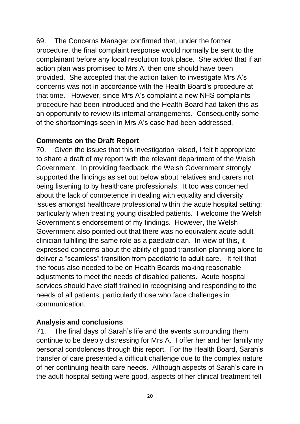69. The Concerns Manager confirmed that, under the former procedure, the final complaint response would normally be sent to the complainant before any local resolution took place. She added that if an action plan was promised to Mrs A, then one should have been provided. She accepted that the action taken to investigate Mrs A's concerns was not in accordance with the Health Board's procedure at that time. However, since Mrs A's complaint a new NHS complaints procedure had been introduced and the Health Board had taken this as an opportunity to review its internal arrangements. Consequently some of the shortcomings seen in Mrs A's case had been addressed.

#### **Comments on the Draft Report**

70. Given the issues that this investigation raised, I felt it appropriate to share a draft of my report with the relevant department of the Welsh Government. In providing feedback, the Welsh Government strongly supported the findings as set out below about relatives and carers not being listening to by healthcare professionals. It too was concerned about the lack of competence in dealing with equality and diversity issues amongst healthcare professional within the acute hospital setting; particularly when treating young disabled patients. I welcome the Welsh Government's endorsement of my findings. However, the Welsh Government also pointed out that there was no equivalent acute adult clinician fulfilling the same role as a paediatrician. In view of this, it expressed concerns about the ability of good transition planning alone to deliver a "seamless" transition from paediatric to adult care. It felt that the focus also needed to be on Health Boards making reasonable adjustments to meet the needs of disabled patients. Acute hospital services should have staff trained in recognising and responding to the needs of all patients, particularly those who face challenges in communication.

#### **Analysis and conclusions**

71. The final days of Sarah's life and the events surrounding them continue to be deeply distressing for Mrs A. I offer her and her family my personal condolences through this report. For the Health Board, Sarah's transfer of care presented a difficult challenge due to the complex nature of her continuing health care needs. Although aspects of Sarah's care in the adult hospital setting were good, aspects of her clinical treatment fell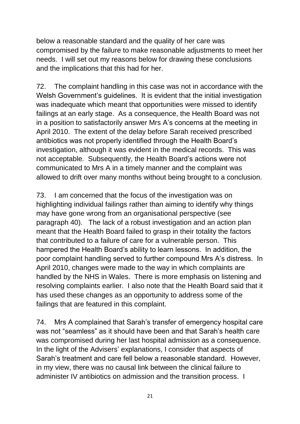below a reasonable standard and the quality of her care was compromised by the failure to make reasonable adjustments to meet her needs. I will set out my reasons below for drawing these conclusions and the implications that this had for her.

72. The complaint handling in this case was not in accordance with the Welsh Government's guidelines. It is evident that the initial investigation was inadequate which meant that opportunities were missed to identify failings at an early stage. As a consequence, the Health Board was not in a position to satisfactorily answer Mrs A's concerns at the meeting in April 2010. The extent of the delay before Sarah received prescribed antibiotics was not properly identified through the Health Board's investigation, although it was evident in the medical records. This was not acceptable. Subsequently, the Health Board's actions were not communicated to Mrs A in a timely manner and the complaint was allowed to drift over many months without being brought to a conclusion.

73. I am concerned that the focus of the investigation was on highlighting individual failings rather than aiming to identify why things may have gone wrong from an organisational perspective (see paragraph 40). The lack of a robust investigation and an action plan meant that the Health Board failed to grasp in their totality the factors that contributed to a failure of care for a vulnerable person. This hampered the Health Board's ability to learn lessons. In addition, the poor complaint handling served to further compound Mrs A's distress. In April 2010, changes were made to the way in which complaints are handled by the NHS in Wales. There is more emphasis on listening and resolving complaints earlier. I also note that the Health Board said that it has used these changes as an opportunity to address some of the failings that are featured in this complaint.

74. Mrs A complained that Sarah's transfer of emergency hospital care was not "seamless" as it should have been and that Sarah's health care was compromised during her last hospital admission as a consequence. In the light of the Advisers' explanations, I consider that aspects of Sarah's treatment and care fell below a reasonable standard. However, in my view, there was no causal link between the clinical failure to administer IV antibiotics on admission and the transition process. I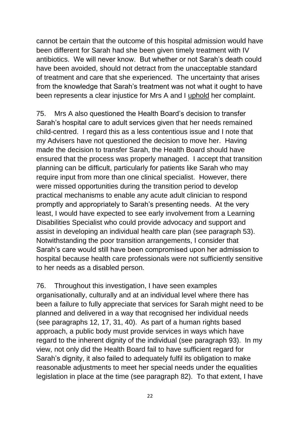cannot be certain that the outcome of this hospital admission would have been different for Sarah had she been given timely treatment with IV antibiotics. We will never know. But whether or not Sarah's death could have been avoided, should not detract from the unacceptable standard of treatment and care that she experienced. The uncertainty that arises from the knowledge that Sarah's treatment was not what it ought to have been represents a clear injustice for Mrs A and I uphold her complaint.

75. Mrs A also questioned the Health Board's decision to transfer Sarah's hospital care to adult services given that her needs remained child-centred. I regard this as a less contentious issue and I note that my Advisers have not questioned the decision to move her. Having made the decision to transfer Sarah, the Health Board should have ensured that the process was properly managed. I accept that transition planning can be difficult, particularly for patients like Sarah who may require input from more than one clinical specialist. However, there were missed opportunities during the transition period to develop practical mechanisms to enable any acute adult clinician to respond promptly and appropriately to Sarah's presenting needs. At the very least, I would have expected to see early involvement from a Learning Disabilities Specialist who could provide advocacy and support and assist in developing an individual health care plan (see paragraph 53). Notwithstanding the poor transition arrangements, I consider that Sarah's care would still have been compromised upon her admission to hospital because health care professionals were not sufficiently sensitive to her needs as a disabled person.

76. Throughout this investigation, I have seen examples organisationally, culturally and at an individual level where there has been a failure to fully appreciate that services for Sarah might need to be planned and delivered in a way that recognised her individual needs (see paragraphs 12, 17, 31, 40). As part of a human rights based approach, a public body must provide services in ways which have regard to the inherent dignity of the individual (see paragraph 93). In my view, not only did the Health Board fail to have sufficient regard for Sarah's dignity, it also failed to adequately fulfil its obligation to make reasonable adjustments to meet her special needs under the equalities legislation in place at the time (see paragraph 82). To that extent, I have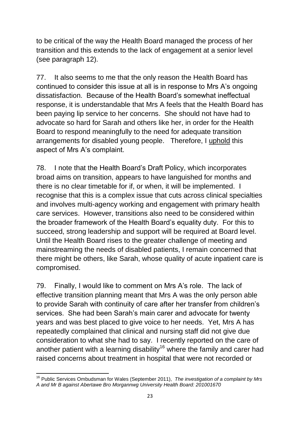to be critical of the way the Health Board managed the process of her transition and this extends to the lack of engagement at a senior level (see paragraph 12).

77. It also seems to me that the only reason the Health Board has continued to consider this issue at all is in response to Mrs A's ongoing dissatisfaction. Because of the Health Board's somewhat ineffectual response, it is understandable that Mrs A feels that the Health Board has been paying lip service to her concerns. She should not have had to advocate so hard for Sarah and others like her, in order for the Health Board to respond meaningfully to the need for adequate transition arrangements for disabled young people. Therefore, I uphold this aspect of Mrs A's complaint.

78. I note that the Health Board's Draft Policy, which incorporates broad aims on transition, appears to have languished for months and there is no clear timetable for if, or when, it will be implemented. I recognise that this is a complex issue that cuts across clinical specialties and involves multi-agency working and engagement with primary health care services. However, transitions also need to be considered within the broader framework of the Health Board's equality duty. For this to succeed, strong leadership and support will be required at Board level. Until the Health Board rises to the greater challenge of meeting and mainstreaming the needs of disabled patients, I remain concerned that there might be others, like Sarah, whose quality of acute inpatient care is compromised.

79. Finally, I would like to comment on Mrs A's role. The lack of effective transition planning meant that Mrs A was the only person able to provide Sarah with continuity of care after her transfer from children's services. She had been Sarah's main carer and advocate for twenty years and was best placed to give voice to her needs. Yet, Mrs A has repeatedly complained that clinical and nursing staff did not give due consideration to what she had to say. I recently reported on the care of another patient with a learning disability<sup>16</sup> where the family and carer had raised concerns about treatment in hospital that were not recorded or

**<sup>.</sup>** <sup>16</sup> Public Services Ombudsman for Wales (September 2011), *The investigation of a complaint by Mrs A and Mr B against Abertawe Bro Morgannwg University Health Board: 201001670*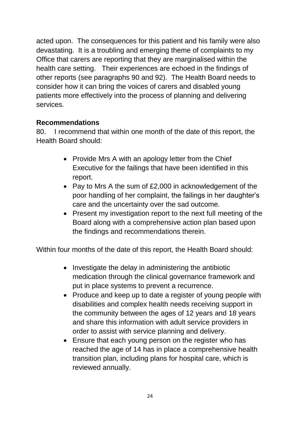acted upon. The consequences for this patient and his family were also devastating. It is a troubling and emerging theme of complaints to my Office that carers are reporting that they are marginalised within the health care setting. Their experiences are echoed in the findings of other reports (see paragraphs 90 and 92). The Health Board needs to consider how it can bring the voices of carers and disabled young patients more effectively into the process of planning and delivering services.

## **Recommendations**

80. I recommend that within one month of the date of this report, the Health Board should:

- Provide Mrs A with an apology letter from the Chief Executive for the failings that have been identified in this report.
- Pay to Mrs A the sum of £2,000 in acknowledgement of the poor handling of her complaint, the failings in her daughter's care and the uncertainty over the sad outcome.
- Present my investigation report to the next full meeting of the Board along with a comprehensive action plan based upon the findings and recommendations therein.

Within four months of the date of this report, the Health Board should:

- $\bullet$  Investigate the delay in administering the antibiotic medication through the clinical governance framework and put in place systems to prevent a recurrence.
- Produce and keep up to date a register of young people with disabilities and complex health needs receiving support in the community between the ages of 12 years and 18 years and share this information with adult service providers in order to assist with service planning and delivery.
- Ensure that each young person on the register who has reached the age of 14 has in place a comprehensive health transition plan, including plans for hospital care, which is reviewed annually.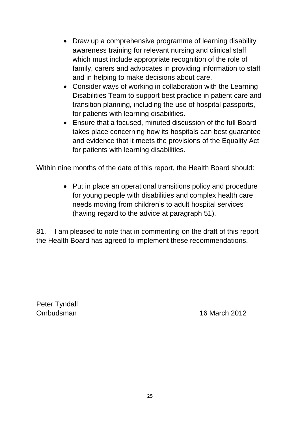- Draw up a comprehensive programme of learning disability awareness training for relevant nursing and clinical staff which must include appropriate recognition of the role of family, carers and advocates in providing information to staff and in helping to make decisions about care.
- Consider ways of working in collaboration with the Learning Disabilities Team to support best practice in patient care and transition planning, including the use of hospital passports, for patients with learning disabilities.
- Ensure that a focused, minuted discussion of the full Board takes place concerning how its hospitals can best guarantee and evidence that it meets the provisions of the Equality Act for patients with learning disabilities.

Within nine months of the date of this report, the Health Board should:

• Put in place an operational transitions policy and procedure for young people with disabilities and complex health care needs moving from children's to adult hospital services (having regard to the advice at paragraph 51).

81. I am pleased to note that in commenting on the draft of this report the Health Board has agreed to implement these recommendations.

Peter Tyndall

Ombudsman 16 March 2012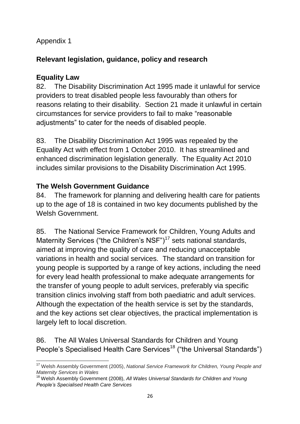## Appendix 1

# **Relevant legislation, guidance, policy and research**

## **Equality Law**

82. The Disability Discrimination Act 1995 made it unlawful for service providers to treat disabled people less favourably than others for reasons relating to their disability. Section 21 made it unlawful in certain circumstances for service providers to fail to make "reasonable adjustments" to cater for the needs of disabled people.

83. The Disability Discrimination Act 1995 was repealed by the Equality Act with effect from 1 October 2010. It has streamlined and enhanced discrimination legislation generally. The Equality Act 2010 includes similar provisions to the Disability Discrimination Act 1995.

## **The Welsh Government Guidance**

84. The framework for planning and delivering health care for patients up to the age of 18 is contained in two key documents published by the Welsh Government.

85. The National Service Framework for Children, Young Adults and Maternity Services ("the Children's NSF") $<sup>17</sup>$  sets national standards,</sup> aimed at improving the quality of care and reducing unacceptable variations in health and social services. The standard on transition for young people is supported by a range of key actions, including the need for every lead health professional to make adequate arrangements for the transfer of young people to adult services, preferably via specific transition clinics involving staff from both paediatric and adult services. Although the expectation of the health service is set by the standards, and the key actions set clear objectives, the practical implementation is largely left to local discretion.

86. The All Wales Universal Standards for Children and Young People's Specialised Health Care Services<sup>18</sup> ("the Universal Standards")

 $\overline{\phantom{a}}$ <sup>17</sup> Welsh Assembly Government (2005), *National Service Framework for Children, Young People and Maternity Services in Wales*

<sup>18</sup> Welsh Assembly Government (2008), *All Wales Universal Standards for Children and Young People's Specialised Health Care Services*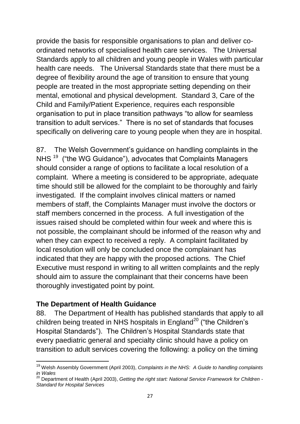provide the basis for responsible organisations to plan and deliver coordinated networks of specialised health care services. The Universal Standards apply to all children and young people in Wales with particular health care needs. The Universal Standards state that there must be a degree of flexibility around the age of transition to ensure that young people are treated in the most appropriate setting depending on their mental, emotional and physical development. Standard 3, Care of the Child and Family/Patient Experience, requires each responsible organisation to put in place transition pathways "to allow for seamless transition to adult services." There is no set of standards that focuses specifically on delivering care to young people when they are in hospital.

87. The Welsh Government's guidance on handling complaints in the NHS<sup>19</sup> ("the WG Guidance"), advocates that Complaints Managers should consider a range of options to facilitate a local resolution of a complaint. Where a meeting is considered to be appropriate, adequate time should still be allowed for the complaint to be thoroughly and fairly investigated. If the complaint involves clinical matters or named members of staff, the Complaints Manager must involve the doctors or staff members concerned in the process. A full investigation of the issues raised should be completed within four week and where this is not possible, the complainant should be informed of the reason why and when they can expect to received a reply. A complaint facilitated by local resolution will only be concluded once the complainant has indicated that they are happy with the proposed actions. The Chief Executive must respond in writing to all written complaints and the reply should aim to assure the complainant that their concerns have been thoroughly investigated point by point.

#### **The Department of Health Guidance**

**.** 

88. The Department of Health has published standards that apply to all children being treated in NHS hospitals in England<sup>20</sup> ("the Children's Hospital Standards"). The Children's Hospital Standards state that every paediatric general and specialty clinic should have a policy on transition to adult services covering the following: a policy on the timing

<sup>19</sup> Welsh Assembly Government (April 2003), *Complaints in the NHS: A Guide to handling complaints in Wales*

<sup>20</sup> Department of Health (April 2003), *Getting the right start: National Service Framework for Children - Standard for Hospital Services*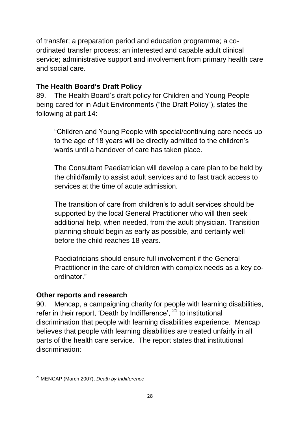of transfer; a preparation period and education programme; a coordinated transfer process; an interested and capable adult clinical service; administrative support and involvement from primary health care and social care.

## **The Health Board's Draft Policy**

89. The Health Board's draft policy for Children and Young People being cared for in Adult Environments ("the Draft Policy"), states the following at part 14:

"Children and Young People with special/continuing care needs up to the age of 18 years will be directly admitted to the children's wards until a handover of care has taken place.

The Consultant Paediatrician will develop a care plan to be held by the child/family to assist adult services and to fast track access to services at the time of acute admission.

The transition of care from children's to adult services should be supported by the local General Practitioner who will then seek additional help, when needed, from the adult physician. Transition planning should begin as early as possible, and certainly well before the child reaches 18 years.

Paediatricians should ensure full involvement if the General Practitioner in the care of children with complex needs as a key coordinator."

## **Other reports and research**

90. Mencap, a campaigning charity for people with learning disabilities, refer in their report, 'Death by Indifference', <sup>21</sup> to institutional discrimination that people with learning disabilities experience. Mencap believes that people with learning disabilities are treated unfairly in all parts of the health care service. The report states that institutional discrimination:

**<sup>.</sup>** <sup>21</sup> MENCAP (March 2007), *Death by Indifference*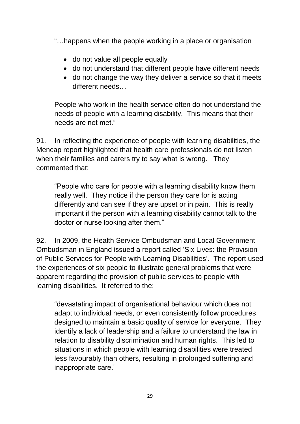"…happens when the people working in a place or organisation

- do not value all people equally
- do not understand that different people have different needs
- do not change the way they deliver a service so that it meets different needs…

People who work in the health service often do not understand the needs of people with a learning disability. This means that their needs are not met."

91. In reflecting the experience of people with learning disabilities, the Mencap report highlighted that health care professionals do not listen when their families and carers try to say what is wrong. They commented that:

"People who care for people with a learning disability know them really well. They notice if the person they care for is acting differently and can see if they are upset or in pain. This is really important if the person with a learning disability cannot talk to the doctor or nurse looking after them."

92. In 2009, the Health Service Ombudsman and Local Government Ombudsman in England issued a report called 'Six Lives: the Provision of Public Services for People with Learning Disabilities'. The report used the experiences of six people to illustrate general problems that were apparent regarding the provision of public services to people with learning disabilities. It referred to the:

"devastating impact of organisational behaviour which does not adapt to individual needs, or even consistently follow procedures designed to maintain a basic quality of service for everyone. They identify a lack of leadership and a failure to understand the law in relation to disability discrimination and human rights. This led to situations in which people with learning disabilities were treated less favourably than others, resulting in prolonged suffering and inappropriate care."